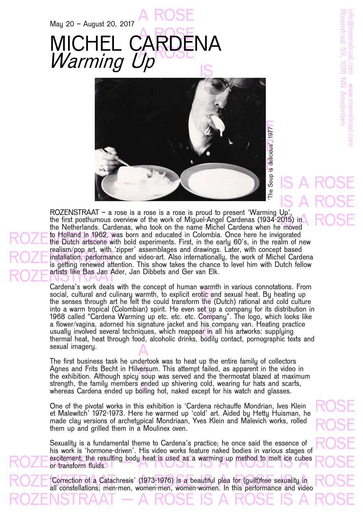IS A ROSE

 A ROSE A ROSE **AROSE** IS May 20 – August 20, 2017 MICHEL *Warming Up*



IS A ROSE ROZENSTRAAT – a rose is a rose is a rose is proud to present warming Up.,<br>the first posthumous overview of the work of Miguel-Angel Cardenas (1934-2015) in ROSE<br>the Netherlands. Cardenas, who took on the name Michel Carden ROZE to Holland in 1962, was born and educated in Colombia. Once here he invigorated the Dutch artscene with bold experiments. First, in the early 60's, in the realm of no realism/pop art, with zipper assemblages and drawings. Later, with concept based<br>is defined to performance and video-art. Also internationally, the work of Michel Cardena<br>is defined renewed attention. This show takes the c ROZENSTRAAT Ader, Jan Dibbets and Ger van Elk. ROZENSTRAAT – a rose is a rose is a rose is proud to present 'Warming  $Up'$ the Netherlands. Cardenas, who took on the name Michel Cardena when he moved the Dutch artscene with bold experiments. First, in the early 60's, in the realm of new realism/pop art, with 'zipper' assemblages and drawings. Later, with concept based is getting renewed attention. This show takes the chance to level him with Dutch fellow ROZENSTRAAT – a rose is a rose is a rose is a rose is a rose is proud to present "Warning Up"<br>the historianisto Carolinas, who both one can be proud to present "Warning Up"<br>In Nationalism Carolinas, who both one can be men

Cardena s work deals with the concept of numan warmin in various connotations. Fror<br>social, cultural and culinary warmth, to explicit erotic and sexual heat. By heating up<br>the senses through art he felt the could transform into a warm tropical (Colombian) spirit. He even set up a company for its distribution in<br>1968 called "Cardena Warming up etc. etc. etc. Company". The logo, which looks like a nower/vagina, adorned nis signature jacket and nis company van. Heating pract<br>usually involved several techniques, which reappear in all his artworks: supplying<br>thermal heat, heat through food, alcoholic drinks, bodilu c A Cardena's work deals with the concept of human warmth in various connotations. From the senses through art he felt the could transform the (Dutch) rational and cold culture into a warm tropical (Colombian) spirit. He even set up a company for its distribution in a flower/vagina, adorned his signature jacket and his company van. Heating practice thermal heat, heat through food, alcoholic drinks, bodily contact, pornographic texts and sexual imagery.

The first business task he undertook was to heat up the entire family of collectors<br>Agnes and Frits Becht in Hilversum. This attempt failed, as apparent in the video in<br>the exhibition. Although spicu soup was served and th strength, the family members ended up shivering cold, wearing fur hats and scar<br>whereas Cardena ended up boiling hot, naked except for his watch and glasses. The first business task he undertook was to heat up the entire family of collectors the exhibition. Although spicy soup was served and the thermostat blazed at maximum strength, the family members ended up shivering cold, wearing fur hats and scarfs,

One of the pivotal works in this exhibition is 'Cardena réchauffe Mondrian, Ives Klein et Malewitch' 1972-1973. Here he warmed up 'cold' art. Aided by Hetty Huisman, he made clay versions of archetypical Mondriaan, Yves Klein and Malevich works, rolled them up and grilled them in a Moulinex oven.

ROZE excitement; the resulting body heat is used as a warming up method to melt ice cubes ROSE Sexuality is a fundamental theme to Cardena's practice; he once said the essence of his work is 'hormone-driven'. His video works feature naked bodies in various stages of or transform fluids.

ROZE Correction of a Catachresis' (1973-1976) is a beautiful plea for (guilt)free sexuality in ROSE

ROSE ROSE ROSE